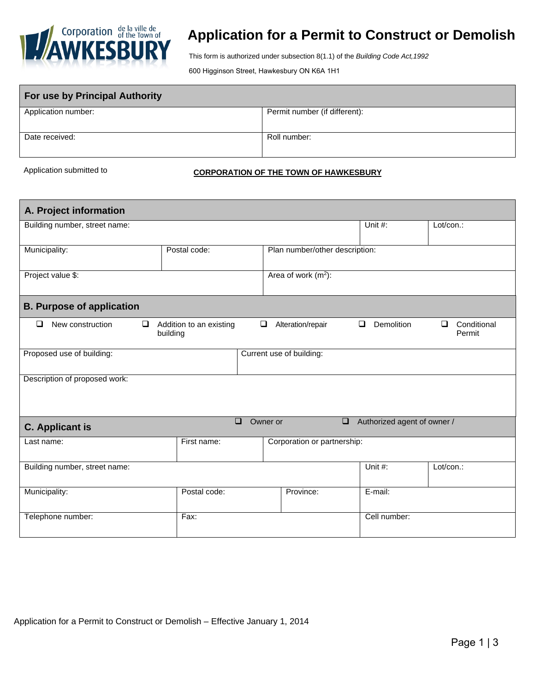

## **Application for a Permit to Construct or Demolish**

This form is authorized under subsection 8(1.1) of the *Building Code Act,1992*

600 Higginson Street, Hawkesbury ON K6A 1H1

| <b>For use by Principal Authority</b> |                               |  |  |
|---------------------------------------|-------------------------------|--|--|
| Application number:                   | Permit number (if different): |  |  |
| Date received:                        | Roll number:                  |  |  |

## Application submitted to **CORPORATION OF THE TOWN OF HAWKESBURY**

| A. Project information                                                                   |                                     |                                |                      |                                 |  |  |
|------------------------------------------------------------------------------------------|-------------------------------------|--------------------------------|----------------------|---------------------------------|--|--|
| Building number, street name:                                                            |                                     |                                | Unit #:              | Lot/con.:                       |  |  |
| Municipality:                                                                            | Postal code:                        | Plan number/other description: |                      |                                 |  |  |
| Project value \$:                                                                        | Area of work $(m2)$ :               |                                |                      |                                 |  |  |
| <b>B. Purpose of application</b>                                                         |                                     |                                |                      |                                 |  |  |
| New construction<br>$\Box$<br>$\Box$                                                     | Addition to an existing<br>building | $\Box$<br>Alteration/repair    | Demolition<br>$\Box$ | Conditional<br>$\Box$<br>Permit |  |  |
| Proposed use of building:                                                                |                                     | Current use of building:       |                      |                                 |  |  |
| Description of proposed work:                                                            |                                     |                                |                      |                                 |  |  |
| $\Box$<br>Owner or<br>$\square$<br>Authorized agent of owner /<br><b>C.</b> Applicant is |                                     |                                |                      |                                 |  |  |
| Last name:                                                                               | First name:                         | Corporation or partnership:    |                      |                                 |  |  |
| Building number, street name:                                                            |                                     |                                | Unit #:              | Lot/con.:                       |  |  |
| Municipality:                                                                            | Postal code:                        | Province:                      | E-mail:              |                                 |  |  |
| Telephone number:                                                                        | Fax:                                |                                | Cell number:         |                                 |  |  |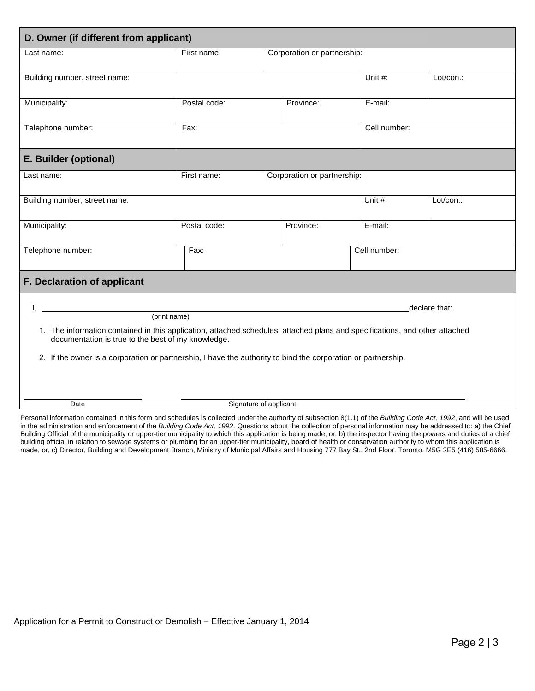| D. Owner (if different from applicant)                                                                                                                                                                                                                                                                                                                                                                                                                                                                           |              |                             |           |         |           |  |
|------------------------------------------------------------------------------------------------------------------------------------------------------------------------------------------------------------------------------------------------------------------------------------------------------------------------------------------------------------------------------------------------------------------------------------------------------------------------------------------------------------------|--------------|-----------------------------|-----------|---------|-----------|--|
| Last name:                                                                                                                                                                                                                                                                                                                                                                                                                                                                                                       | First name:  | Corporation or partnership: |           |         |           |  |
| Building number, street name:                                                                                                                                                                                                                                                                                                                                                                                                                                                                                    |              |                             |           | Unit #: | Lot/con.: |  |
| Municipality:                                                                                                                                                                                                                                                                                                                                                                                                                                                                                                    | Postal code: | E-mail:<br>Province:        |           |         |           |  |
| Telephone number:                                                                                                                                                                                                                                                                                                                                                                                                                                                                                                | Fax:         | Cell number:                |           |         |           |  |
| E. Builder (optional)                                                                                                                                                                                                                                                                                                                                                                                                                                                                                            |              |                             |           |         |           |  |
| Last name:                                                                                                                                                                                                                                                                                                                                                                                                                                                                                                       | First name:  | Corporation or partnership: |           |         |           |  |
| Building number, street name:                                                                                                                                                                                                                                                                                                                                                                                                                                                                                    |              |                             |           | Unit #: | Lot/con.: |  |
| Municipality:                                                                                                                                                                                                                                                                                                                                                                                                                                                                                                    | Postal code: |                             | Province: | E-mail: |           |  |
| Telephone number:                                                                                                                                                                                                                                                                                                                                                                                                                                                                                                | Fax:         | Cell number:                |           |         |           |  |
| F. Declaration of applicant                                                                                                                                                                                                                                                                                                                                                                                                                                                                                      |              |                             |           |         |           |  |
| declare that:<br>(print name)                                                                                                                                                                                                                                                                                                                                                                                                                                                                                    |              |                             |           |         |           |  |
| 1. The information contained in this application, attached schedules, attached plans and specifications, and other attached<br>documentation is true to the best of my knowledge.                                                                                                                                                                                                                                                                                                                                |              |                             |           |         |           |  |
| 2. If the owner is a corporation or partnership, I have the authority to bind the corporation or partnership.                                                                                                                                                                                                                                                                                                                                                                                                    |              |                             |           |         |           |  |
| Signature of applicant<br>Date<br>the contract of the contract of the contract of the contract of the contract of the contract of the contract of<br>$\mathcal{L}$ $\mathcal{L}$ $\mathcal{L}$ $\mathcal{L}$ $\mathcal{L}$ $\mathcal{L}$ $\mathcal{L}$ $\mathcal{L}$ $\mathcal{L}$ $\mathcal{L}$ $\mathcal{L}$ $\mathcal{L}$ $\mathcal{L}$ $\mathcal{L}$ $\mathcal{L}$ $\mathcal{L}$ $\mathcal{L}$ $\mathcal{L}$ $\mathcal{L}$ $\mathcal{L}$ $\mathcal{L}$ $\mathcal{L}$ $\mathcal{L}$ $\mathcal{L}$ $\mathcal{$ |              |                             |           |         |           |  |

Personal information contained in this form and schedules is collected under the authority of subsection 8(1.1) of the *Building Code Act, 1992*, and will be used in the administration and enforcement of the *Building Code Act, 1992*. Questions about the collection of personal information may be addressed to: a) the Chief Building Official of the municipality or upper-tier municipality to which this application is being made, or, b) the inspector having the powers and duties of a chief building official in relation to sewage systems or plumbing for an upper-tier municipality, board of health or conservation authority to whom this application is made, or, c) Director, Building and Development Branch, Ministry of Municipal Affairs and Housing 777 Bay St., 2nd Floor. Toronto, M5G 2E5 (416) 585-6666.